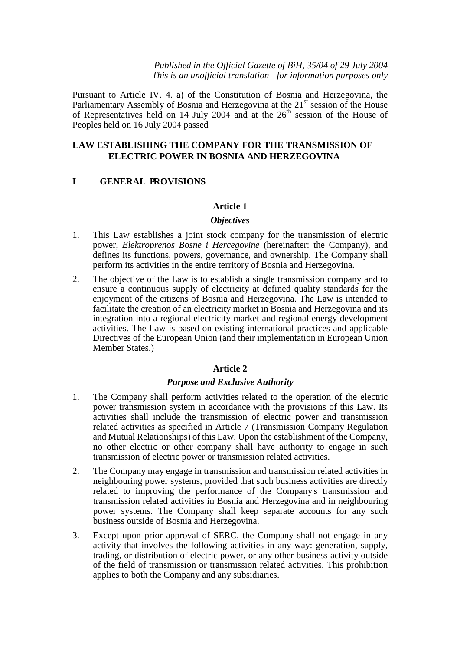*Published in the Official Gazette of BiH, 35/04 of 29 July 2004 This is an unofficial translation - for information purposes only*

Pursuant to Article IV. 4. a) of the Constitution of Bosnia and Herzegovina, the Parliamentary Assembly of Bosnia and Herzegovina at the  $21<sup>st</sup>$  session of the House of Representatives held on 14 July 2004 and at the  $26<sup>th</sup>$  session of the House of Peoples held on 16 July 2004 passed

## **LAW ESTABLISHING THE COMPANY FOR THE TRANSMISSION OF ELECTRIC POWER IN BOSNIA AND HERZEGOVINA**

### **I GENERAL PROVISIONS**

#### **Article 1**

#### *Objectives*

- 1. This Law establishes a joint stock company for the transmission of electric power, *Elektroprenos Bosne i Hercegovine* (hereinafter: the Company), and defines its functions, powers, governance, and ownership. The Company shall perform its activities in the entire territory of Bosnia and Herzegovina.
- 2. The objective of the Law is to establish a single transmission company and to ensure a continuous supply of electricity at defined quality standards for the enjoyment of the citizens of Bosnia and Herzegovina. The Law is intended to facilitate the creation of an electricity market in Bosnia and Herzegovina and its integration into a regional electricity market and regional energy development activities. The Law is based on existing international practices and applicable Directives of the European Union (and their implementation in European Union Member States.)

#### **Article 2**

#### *Purpose and Exclusive Authority*

- 1. The Company shall perform activities related to the operation of the electric power transmission system in accordance with the provisions of this Law. Its activities shall include the transmission of electric power and transmission related activities as specified in Article 7 (Transmission Company Regulation and Mutual Relationships) of this Law. Upon the establishment of the Company, no other electric or other company shall have authority to engage in such transmission of electric power or transmission related activities.
- 2. The Company may engage in transmission and transmission related activities in neighbouring power systems, provided that such business activities are directly related to improving the performance of the Company's transmission and transmission related activities in Bosnia and Herzegovina and in neighbouring power systems. The Company shall keep separate accounts for any such business outside of Bosnia and Herzegovina.
- 3. Except upon prior approval of SERC, the Company shall not engage in any activity that involves the following activities in any way: generation, supply, trading, or distribution of electric power, or any other business activity outside of the field of transmission or transmission related activities. This prohibition applies to both the Company and any subsidiaries.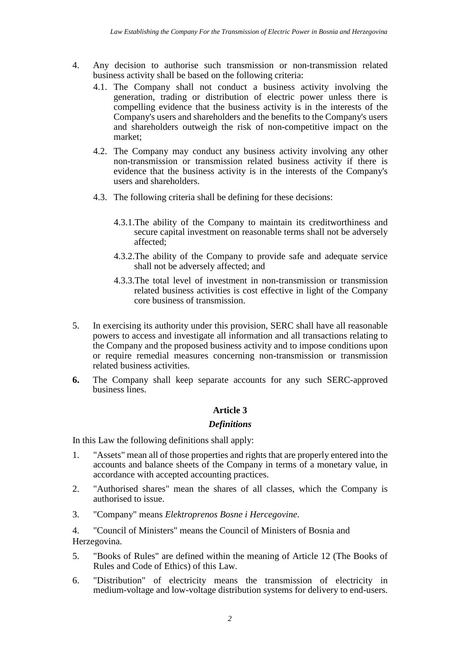- 4. Any decision to authorise such transmission or non-transmission related business activity shall be based on the following criteria:
	- 4.1. The Company shall not conduct a business activity involving the generation, trading or distribution of electric power unless there is compelling evidence that the business activity is in the interests of the Company's users and shareholders and the benefits to the Company's users and shareholders outweigh the risk of non-competitive impact on the market;
	- 4.2. The Company may conduct any business activity involving any other non-transmission or transmission related business activity if there is evidence that the business activity is in the interests of the Company's users and shareholders.
	- 4.3. The following criteria shall be defining for these decisions:
		- 4.3.1. The ability of the Company to maintain its creditworthiness and secure capital investment on reasonable terms shall not be adversely affected;
		- 4.3.2. The ability of the Company to provide safe and adequate service shall not be adversely affected; and
		- 4.3.3. The total level of investment in non-transmission or transmission related business activities is cost effective in light of the Company core business of transmission.
- 5. In exercising its authority under this provision, SERC shall have all reasonable powers to access and investigate all information and all transactions relating to the Company and the proposed business activity and to impose conditions upon or require remedial measures concerning non-transmission or transmission related business activities.
- **6.** The Company shall keep separate accounts for any such SERC-approved business lines.

#### *Definitions*

In this Law the following definitions shall apply:

- 1. "Assets" mean all of those properties and rights that are properly entered into the accounts and balance sheets of the Company in terms of a monetary value, in accordance with accepted accounting practices.
- 2. "Authorised shares" mean the shares of all classes, which the Company is authorised to issue.
- 3. "Company" means *Elektroprenos Bosne i Hercegovine*.

4. "Council of Ministers" means the Council of Ministers of Bosnia and Herzegovina.

- 5. "Books of Rules" are defined within the meaning of Article 12 (The Books of Rules and Code of Ethics) of this Law.
- 6. "Distribution" of electricity means the transmission of electricity in medium-voltage and low-voltage distribution systems for delivery to end-users.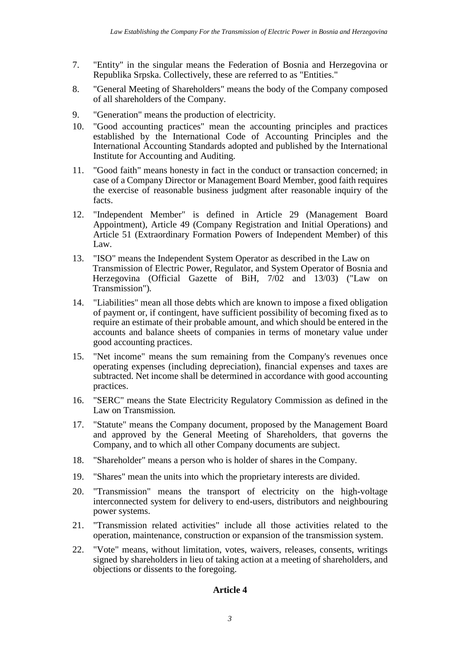- 7. "Entity" in the singular means the Federation of Bosnia and Herzegovina or Republika Srpska. Collectively, these are referred to as "Entities."
- 8. "General Meeting of Shareholders" means the body of the Company composed of all shareholders of the Company.
- 9. "Generation" means the production of electricity.
- 10. "Good accounting practices" mean the accounting principles and practices established by the International Code of Accounting Principles and the International Accounting Standards adopted and published by the International Institute for Accounting and Auditing.
- 11. "Good faith" means honesty in fact in the conduct or transaction concerned; in case of a Company Director or Management Board Member, good faith requires the exercise of reasonable business judgment after reasonable inquiry of the facts.
- 12. "Independent Member" is defined in Article 29 (Management Board Appointment), Article 49 (Company Registration and Initial Operations) and Article 51 (Extraordinary Formation Powers of Independent Member) of this Law.
- 13. "ISO" means the Independent System Operator as described in the Law on Transmission of Electric Power, Regulator, and System Operator of Bosnia and Herzegovina (Official Gazette of BiH, 7/02 and 13/03) ("Law on Transmission")*.*
- 14. "Liabilities" mean all those debts which are known to impose a fixed obligation of payment or, if contingent, have sufficient possibility of becoming fixed as to require an estimate of their probable amount, and which should be entered in the accounts and balance sheets of companies in terms of monetary value under good accounting practices.
- 15. "Net income" means the sum remaining from the Company's revenues once operating expenses (including depreciation), financial expenses and taxes are subtracted. Net income shall be determined in accordance with good accounting practices.
- 16. "SERC" means the State Electricity Regulatory Commission as defined in the Law on Transmission*.*
- 17. "Statute" means the Company document, proposed by the Management Board and approved by the General Meeting of Shareholders, that governs the Company, and to which all other Company documents are subject.
- 18. "Shareholder" means a person who is holder of shares in the Company.
- 19. "Shares" mean the units into which the proprietary interests are divided.
- 20. "Transmission" means the transport of electricity on the high-voltage interconnected system for delivery to end-users, distributors and neighbouring power systems.
- 21. "Transmission related activities" include all those activities related to the operation, maintenance, construction or expansion of the transmission system.
- 22. "Vote" means, without limitation, votes, waivers, releases, consents, writings signed by shareholders in lieu of taking action at a meeting of shareholders, and objections or dissents to the foregoing.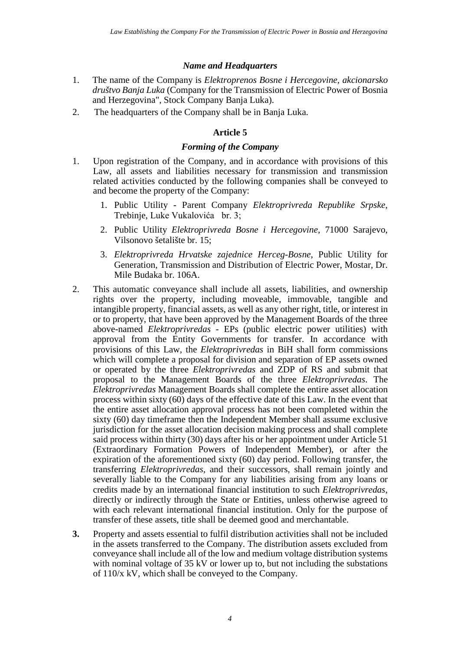### *Name and Headquarters*

- 1. The name of the Company is *Elektroprenos Bosne i Hercegovine, akcionarsko društvo Banja Luka* (Company for the Transmission of Electric Power of Bosnia and Herzegovina", Stock Company Banja Luka).
- 2. The headquarters of the Company shall be in Banja Luka.

## **Article 5**

### *Forming of the Company*

- 1. Upon registration of the Company, and in accordance with provisions of this Law, all assets and liabilities necessary for transmission and transmission related activities conducted by the following companies shall be conveyed to and become the property of the Company:
	- 1. Public Utility Parent Company *Elektroprivreda Republike Srpske*, Trebinje, Luke Vukalovića br. 3;
	- 2. Public Utility *Elektroprivreda Bosne i Hercegovine*, 71000 Sarajevo, Vilsonovo šetalište br. 15;
	- 3. *Elektroprivreda Hrvatske zajednice Herceg-Bosne*, Public Utility for Generation, Transmission and Distribution of Electric Power, Mostar, Dr. Mile Budaka br. 106A.
- $2^{\circ}$ This automatic conveyance shall include all assets, liabilities, and ownership rights over the property, including moveable, immovable, tangible and intangible property, financial assets, as well as any other right, title, or interest in or to property, that have been approved by the Management Boards of the three above-named *Elektroprivredas* - EPs (public electric power utilities) with approval from the Entity Governments for transfer. In accordance with provisions of this Law, the *Elektroprivredas* in BiH shall form commissions which will complete a proposal for division and separation of EP assets owned or operated by the three *Elektroprivredas* and ZDP of RS and submit that proposal to the Management Boards of the three *Elektroprivredas*. The *Elektroprivredas* Management Boards shall complete the entire asset allocation process within sixty (60) days of the effective date of this Law. In the event that the entire asset allocation approval process has not been completed within the sixty (60) day timeframe then the Independent Member shall assume exclusive jurisdiction for the asset allocation decision making process and shall complete said process within thirty (30) days after his or her appointment under Article 51 (Extraordinary Formation Powers of Independent Member), or after the expiration of the aforementioned sixty (60) day period. Following transfer, the transferring *Elektroprivredas*, and their successors, shall remain jointly and severally liable to the Company for any liabilities arising from any loans or credits made by an international financial institution to such *Elektroprivredas*, directly or indirectly through the State or Entities, unless otherwise agreed to with each relevant international financial institution. Only for the purpose of transfer of these assets, title shall be deemed good and merchantable.
- **3.** Property and assets essential to fulfil distribution activities shall not be included in the assets transferred to the Company. The distribution assets excluded from conveyance shall include all of the low and medium voltage distribution systems with nominal voltage of 35 kV or lower up to, but not including the substations of 110/x kV, which shall be conveyed to the Company.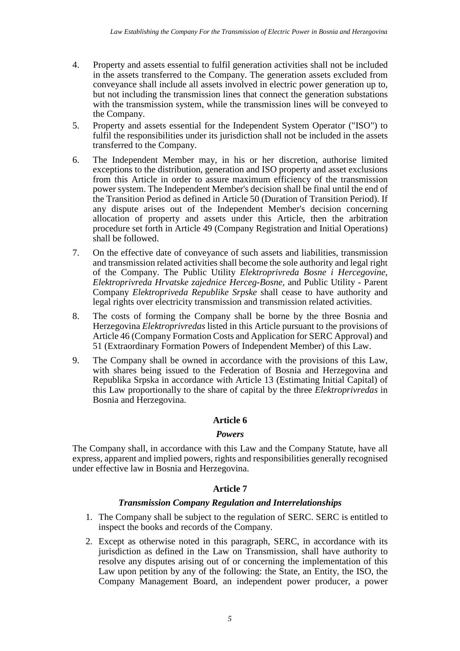- 4. Property and assets essential to fulfil generation activities shall not be included in the assets transferred to the Company. The generation assets excluded from conveyance shall include all assets involved in electric power generation up to, but not including the transmission lines that connect the generation substations with the transmission system, while the transmission lines will be conveyed to the Company.
- 5. Property and assets essential for the Independent System Operator ("ISO") to fulfil the responsibilities under its jurisdiction shall not be included in the assets transferred to the Company.
- 6. The Independent Member may, in his or her discretion, authorise limited exceptions to the distribution, generation and ISO property and asset exclusions from this Article in order to assure maximum efficiency of the transmission power system. The Independent Member's decision shall be final until the end of the Transition Period as defined in Article 50 (Duration of Transition Period). If any dispute arises out of the Independent Member's decision concerning allocation of property and assets under this Article, then the arbitration procedure set forth in Article 49 (Company Registration and Initial Operations) shall be followed.
- 7. On the effective date of conveyance of such assets and liabilities, transmission and transmission related activities shall become the sole authority and legal right of the Company. The Public Utility *Elektroprivreda Bosne i Hercegovine*, *Elektroprivreda Hrvatske zajednice Herceg-Bosne*, and Public Utility - Parent Company *Elektropriveda Republike Srpske* shall cease to have authority and legal rights over electricity transmission and transmission related activities.
- 8. The costs of forming the Company shall be borne by the three Bosnia and Herzegovina *Elektroprivredas* listed in this Article pursuant to the provisions of Article 46 (Company Formation Costs and Application for SERC Approval) and 51 (Extraordinary Formation Powers of Independent Member) of this Law.
- 9. The Company shall be owned in accordance with the provisions of this Law, with shares being issued to the Federation of Bosnia and Herzegovina and Republika Srpska in accordance with Article 13 (Estimating Initial Capital) of this Law proportionally to the share of capital by the three *Elektroprivredas* in Bosnia and Herzegovina.

## *Powers*

The Company shall, in accordance with this Law and the Company Statute*,* have all express, apparent and implied powers, rights and responsibilities generally recognised under effective law in Bosnia and Herzegovina.

## **Article 7**

## *Transmission Company Regulation and Interrelationships*

- 1. The Company shall be subject to the regulation of SERC. SERC is entitled to inspect the books and records of the Company.
- 2. Except as otherwise noted in this paragraph, SERC, in accordance with its jurisdiction as defined in the Law on Transmission, shall have authority to resolve any disputes arising out of or concerning the implementation of this Law upon petition by any of the following: the State, an Entity, the ISO, the Company Management Board, an independent power producer, a power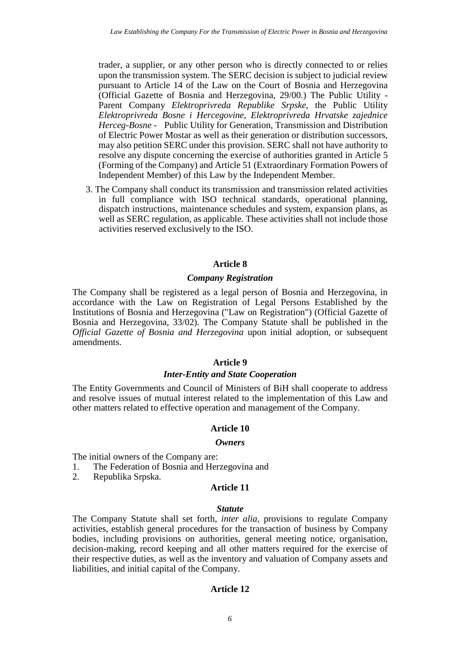trader, a supplier, or any other person who is directly connected to or relies upon the transmission system. The SERC decision is subject to judicial review pursuant to Article 14 of the Law on the Court of Bosnia and Herzegovina (Official Gazette of Bosnia and Herzegovina, 29/00.) The Public Utility - Parent Company *Elektroprivreda Republike Srpske*, the Public Utility *Elektroprivreda Bosne i Hercegovine, Elektroprivreda Hrvatske zajednice Herceg-Bosne -* Public Utility for Generation, Transmission and Distribution of Electric Power Mostar as well as their generation or distribution successors, may also petition SERC under this provision. SERC shall not have authority to resolve any dispute concerning the exercise of authorities granted in Article 5 (Forming of the Company) and Article 51 (Extraordinary Formation Powers of Independent Member) of this Law by the Independent Member.

3. The Company shall conduct its transmission and transmission related activities in full compliance with ISO technical standards, operational planning, dispatch instructions, maintenance schedules and system, expansion plans, as well as SERC regulation, as applicable. These activities shall not include those activities reserved exclusively to the ISO.

### **Article 8**

### *Company Registration*

The Company shall be registered as a legal person of Bosnia and Herzegovina, in accordance with the Law on Registration of Legal Persons Established by the Institutions of Bosnia and Herzegovina ("Law on Registration") (Official Gazette of Bosnia and Herzegovina, 33/02). The Company Statute shall be published in the *Official Gazette of Bosnia and Herzegovina* upon initial adoption, or subsequent amendments.

## **Article 9**

#### *Inter-Entity and State Cooperation*

The Entity Governments and Council of Ministers of BiH shall cooperate to address and resolve issues of mutual interest related to the implementation of this Law and other matters related to effective operation and management of the Company.

## **Article 10**

#### *Owners*

The initial owners of the Company are:

- 1. The Federation of Bosnia and Herzegovina and
- 2. Republika Srpska.

## **Article 11**

#### *Statute*

The Company Statute shall set forth, *inter alia,* provisions to regulate Company activities, establish general procedures for the transaction of business by Company bodies, including provisions on authorities, general meeting notice, organisation, decision-making, record keeping and all other matters required for the exercise of their respective duties, as well as the inventory and valuation of Company assets and liabilities, and initial capital of the Company.

#### **Article 12**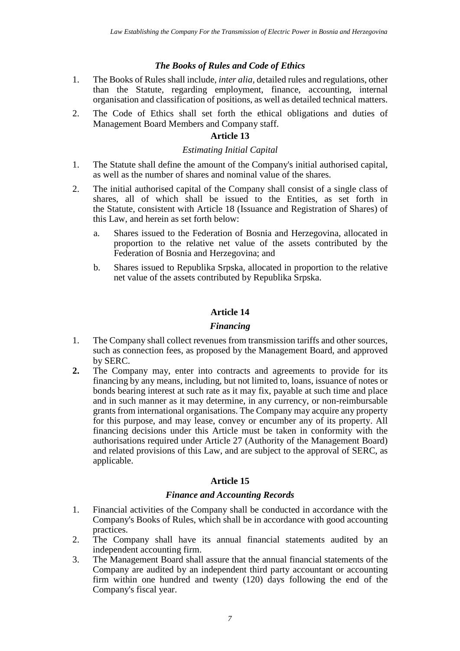## *The Books of Rules and Code of Ethics*

- 1. The Books of Rules shall include, *inter alia,* detailed rules and regulations, other than the Statute, regarding employment, finance, accounting, internal organisation and classification of positions, as well as detailed technical matters.
- 2. The Code of Ethics shall set forth the ethical obligations and duties of Management Board Members and Company staff.

#### **Article 13**

#### *Estimating Initial Capital*

- 1. The Statute shall define the amount of the Company's initial authorised capital, as well as the number of shares and nominal value of the shares.
- 2. The initial authorised capital of the Company shall consist of a single class of shares, all of which shall be issued to the Entities, as set forth in the Statute*,* consistent with Article 18 (Issuance and Registration of Shares) of this Law, and herein as set forth below:
	- a. Shares issued to the Federation of Bosnia and Herzegovina, allocated in proportion to the relative net value of the assets contributed by the Federation of Bosnia and Herzegovina; and
	- b. Shares issued to Republika Srpska, allocated in proportion to the relative net value of the assets contributed by Republika Srpska.

## **Article 14**

### *Financing*

- 1. The Company shall collect revenues from transmission tariffs and other sources, such as connection fees, as proposed by the Management Board, and approved by SERC.
- **2.** The Company may, enter into contracts and agreements to provide for its financing by any means, including, but not limited to, loans, issuance of notes or bonds bearing interest at such rate as it may fix, payable at such time and place and in such manner as it may determine, in any currency, or non-reimbursable grants from international organisations. The Company may acquire any property for this purpose, and may lease, convey or encumber any of its property. All financing decisions under this Article must be taken in conformity with the authorisations required under Article 27 (Authority of the Management Board) and related provisions of this Law, and are subject to the approval of SERC, as applicable.

## **Article 15**

#### *Finance and Accounting Records*

- 1. Financial activities of the Company shall be conducted in accordance with the Company's Books of Rules, which shall be in accordance with good accounting practices.
- 2. The Company shall have its annual financial statements audited by an independent accounting firm.
- 3. The Management Board shall assure that the annual financial statements of the Company are audited by an independent third party accountant or accounting firm within one hundred and twenty (120) days following the end of the Company's fiscal year.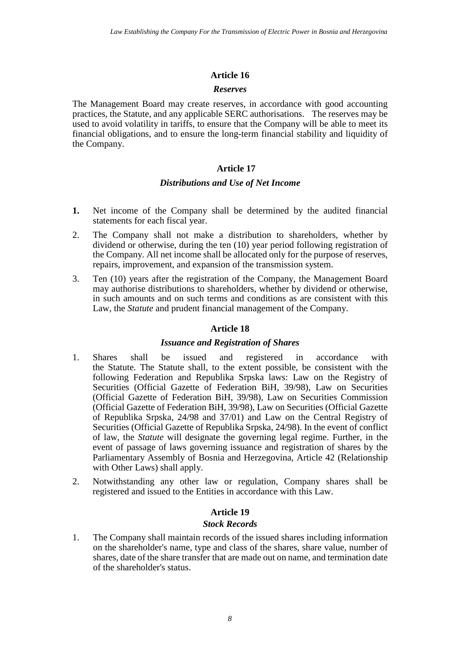### *Reserves*

The Management Board may create reserves, in accordance with good accounting practices, the Statute, and any applicable SERC authorisations. The reserves may be used to avoid volatility in tariffs, to ensure that the Company will be able to meet its financial obligations, and to ensure the long-term financial stability and liquidity of the Company.

## **Article 17**

### *Distributions and Use of Net Income*

- **1.** Net income of the Company shall be determined by the audited financial statements for each fiscal year.
- 2. The Company shall not make a distribution to shareholders, whether by dividend or otherwise, during the ten (10) year period following registration of the Company. All net income shall be allocated only for the purpose of reserves, repairs, improvement, and expansion of the transmission system.
- 3. Ten (10) years after the registration of the Company, the Management Board may authorise distributions to shareholders, whether by dividend or otherwise, in such amounts and on such terms and conditions as are consistent with this Law, the *Statute* and prudent financial management of the Company.

## **Article 18**

## *Issuance and Registration of Shares*

- 1. Shares shall be issued and registered in accordance with the Statute*.* The Statute shall, to the extent possible, be consistent with the following Federation and Republika Srpska laws: Law on the Registry of Securities (Official Gazette of Federation BiH, 39/98), Law on Securities (Official Gazette of Federation BiH, 39/98)*,* Law on Securities Commission (Official Gazette of Federation BiH, 39/98), Law on Securities (Official Gazette of Republika Srpska, 24/98 and 37/01) and Law on the Central Registry of Securities (Official Gazette of Republika Srpska, 24/98). In the event of conflict of law, the *Statute* will designate the governing legal regime. Further, in the event of passage of laws governing issuance and registration of shares by the Parliamentary Assembly of Bosnia and Herzegovina, Article 42 (Relationship with Other Laws) shall apply.
- 2. Notwithstanding any other law or regulation, Company shares shall be registered and issued to the Entities in accordance with this Law.

## **Article 19**

## *Stock Records*

1. The Company shall maintain records of the issued shares including information on the shareholder's name, type and class of the shares, share value, number of shares, date of the share transfer that are made out on name, and termination date of the shareholder's status.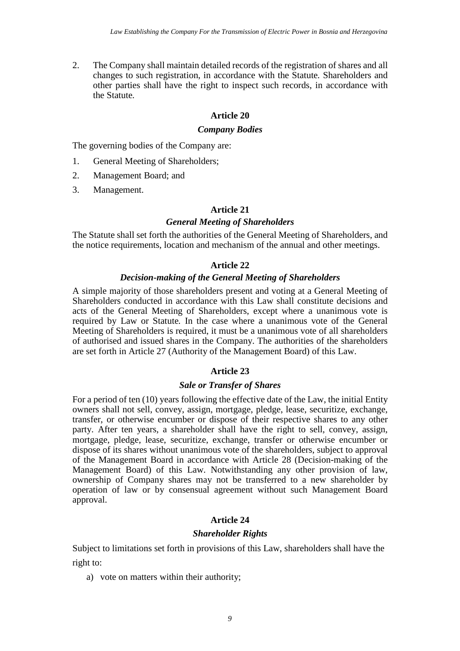2. The Company shall maintain detailed records of the registration of shares and all changes to such registration, in accordance with the Statute*.* Shareholders and other parties shall have the right to inspect such records, in accordance with the Statute*.*

## **Article 20**

### *Company Bodies*

The governing bodies of the Company are:

- 1. General Meeting of Shareholders;
- 2. Management Board; and
- 3. Management.

## **Article 21**

## *General Meeting of Shareholders*

The Statute shall set forth the authorities of the General Meeting of Shareholders, and the notice requirements, location and mechanism of the annual and other meetings.

## **Article 22**

## *Decision-making of the General Meeting of Shareholders*

A simple majority of those shareholders present and voting at a General Meeting of Shareholders conducted in accordance with this Law shall constitute decisions and acts of the General Meeting of Shareholders, except where a unanimous vote is required by Law or Statute*.* In the case where a unanimous vote of the General Meeting of Shareholders is required, it must be a unanimous vote of all shareholders of authorised and issued shares in the Company. The authorities of the shareholders are set forth in Article 27 (Authority of the Management Board) of this Law.

## **Article 23**

## *Sale or Transfer of Shares*

For a period of ten (10) years following the effective date of the Law, the initial Entity owners shall not sell, convey, assign, mortgage, pledge, lease, securitize, exchange, transfer, or otherwise encumber or dispose of their respective shares to any other party. After ten years, a shareholder shall have the right to sell, convey, assign, mortgage, pledge, lease, securitize, exchange, transfer or otherwise encumber or dispose of its shares without unanimous vote of the shareholders, subject to approval of the Management Board in accordance with Article 28 (Decision-making of the Management Board) of this Law. Notwithstanding any other provision of law, ownership of Company shares may not be transferred to a new shareholder by operation of law or by consensual agreement without such Management Board approval.

## **Article 24**

## *Shareholder Rights*

Subject to limitations set forth in provisions of this Law, shareholders shall have the right to:

a) vote on matters within their authority;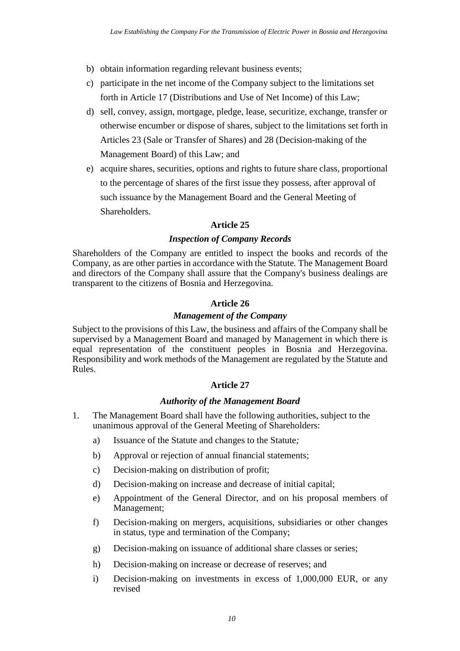- b) obtain information regarding relevant business events;
- c) participate in the net income of the Company subject to the limitations set forth in Article 17 (Distributions and Use of Net Income) of this Law;
- d) sell, convey, assign, mortgage, pledge, lease, securitize, exchange, transfer or otherwise encumber or dispose of shares, subject to the limitations set forth in Articles 23 (Sale or Transfer of Shares) and 28 (Decision-making of the Management Board) of this Law; and
- e) acquire shares, securities, options and rights to future share class, proportional to the percentage of shares of the first issue they possess, after approval of such issuance by the Management Board and the General Meeting of Shareholders.

## *Inspection of Company Records*

Shareholders of the Company are entitled to inspect the books and records of the Company, as are other parties in accordance with the Statute*.* The Management Board and directors of the Company shall assure that the Company's business dealings are transparent to the citizens of Bosnia and Herzegovina.

## **Article 26**

### *Management of the Company*

Subject to the provisions of this Law, the business and affairs of the Company shall be supervised by a Management Board and managed by Management in which there is equal representation of the constituent peoples in Bosnia and Herzegovina. Responsibility and work methods of the Management are regulated by the Statute and Rules.

## **Article 27**

## *Authority of the Management Board*

- 1. The Management Board shall have the following authorities, subject to the unanimous approval of the General Meeting of Shareholders:
	- a) Issuance of the Statute and changes to the Statute*;*
	- b) Approval or rejection of annual financial statements;
	- c) Decision-making on distribution of profit;
	- d) Decision-making on increase and decrease of initial capital;
	- e) Appointment of the General Director, and on his proposal members of Management;
	- f) Decision-making on mergers, acquisitions, subsidiaries or other changes in status, type and termination of the Company;
	- g) Decision-making on issuance of additional share classes or series;
	- h) Decision-making on increase or decrease of reserves; and
	- i) Decision-making on investments in excess of 1,000,000 EUR, or any revised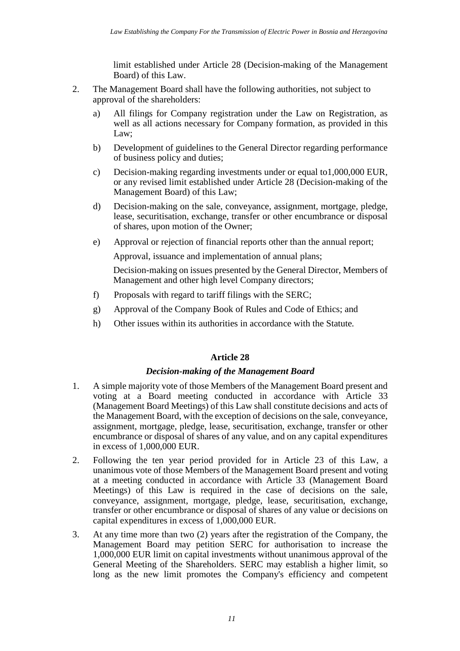limit established under Article 28 (Decision-making of the Management Board) of this Law.

- 2. The Management Board shall have the following authorities, not subject to approval of the shareholders:
	- a) All filings for Company registration under the Law on Registration*,* as well as all actions necessary for Company formation, as provided in this Law;
	- b) Development of guidelines to the General Director regarding performance of business policy and duties;
	- c) Decision-making regarding investments under or equal to1,000,000 EUR, or any revised limit established under Article 28 (Decision-making of the Management Board) of this Law;
	- d) Decision-making on the sale, conveyance, assignment, mortgage, pledge, lease, securitisation, exchange, transfer or other encumbrance or disposal of shares, upon motion of the Owner;
	- e) Approval or rejection of financial reports other than the annual report;

Approval, issuance and implementation of annual plans;

Decision-making on issues presented by the General Director, Members of Management and other high level Company directors;

- f) Proposals with regard to tariff filings with the SERC;
- g) Approval of the Company Book of Rules and Code of Ethics; and
- h) Other issues within its authorities in accordance with the Statute*.*

## **Article 28**

## *Decision-making of the Management Board*

- 1. A simple majority vote of those Members of the Management Board present and voting at a Board meeting conducted in accordance with Article 33 (Management Board Meetings) of this Law shall constitute decisions and acts of the Management Board, with the exception of decisions on the sale, conveyance, assignment, mortgage, pledge, lease, securitisation, exchange, transfer or other encumbrance or disposal of shares of any value, and on any capital expenditures in excess of 1,000,000 EUR.
- 2. Following the ten year period provided for in Article 23 of this Law, a unanimous vote of those Members of the Management Board present and voting at a meeting conducted in accordance with Article 33 (Management Board Meetings) of this Law is required in the case of decisions on the sale, conveyance, assignment, mortgage, pledge, lease, securitisation, exchange, transfer or other encumbrance or disposal of shares of any value or decisions on capital expenditures in excess of 1,000,000 EUR.
- 3. At any time more than two (2) years after the registration of the Company, the Management Board may petition SERC for authorisation to increase the 1,000,000 EUR limit on capital investments without unanimous approval of the General Meeting of the Shareholders. SERC may establish a higher limit, so long as the new limit promotes the Company's efficiency and competent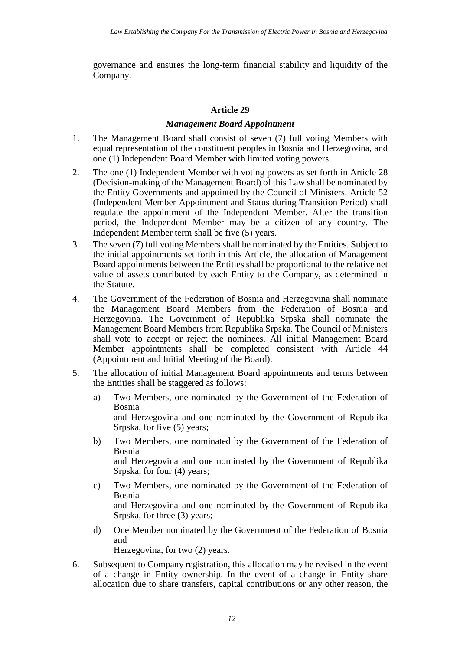governance and ensures the long-term financial stability and liquidity of the Company.

## **Article 29**

### *Management Board Appointment*

- 1. The Management Board shall consist of seven (7) full voting Members with equal representation of the constituent peoples in Bosnia and Herzegovina, and one (1) Independent Board Member with limited voting powers.
- 2. The one (1) Independent Member with voting powers as set forth in Article 28 (Decision-making of the Management Board) of this Law shall be nominated by the Entity Governments and appointed by the Council of Ministers. Article 52 (Independent Member Appointment and Status during Transition Period) shall regulate the appointment of the Independent Member. After the transition period, the Independent Member may be a citizen of any country. The Independent Member term shall be five (5) years.
- 3. The seven (7) full voting Members shall be nominated by the Entities. Subject to the initial appointments set forth in this Article, the allocation of Management Board appointments between the Entities shall be proportional to the relative net value of assets contributed by each Entity to the Company, as determined in the Statute*.*
- 4. The Government of the Federation of Bosnia and Herzegovina shall nominate the Management Board Members from the Federation of Bosnia and Herzegovina. The Government of Republika Srpska shall nominate the Management Board Members from Republika Srpska. The Council of Ministers shall vote to accept or reject the nominees. All initial Management Board Member appointments shall be completed consistent with Article 44 (Appointment and Initial Meeting of the Board).
- 5. The allocation of initial Management Board appointments and terms between the Entities shall be staggered as follows:
	- a) Two Members, one nominated by the Government of the Federation of Bosnia and Herzegovina and one nominated by the Government of Republika Srpska, for five (5) years;
	- b) Two Members, one nominated by the Government of the Federation of Bosnia and Herzegovina and one nominated by the Government of Republika Srpska, for four (4) years;
	- c) Two Members, one nominated by the Government of the Federation of Bosnia and Herzegovina and one nominated by the Government of Republika Srpska, for three (3) years;
	- d) One Member nominated by the Government of the Federation of Bosnia and Herzegovina, for two (2) years.
- 6. Subsequent to Company registration, this allocation may be revised in the event of a change in Entity ownership. In the event of a change in Entity share allocation due to share transfers, capital contributions or any other reason, the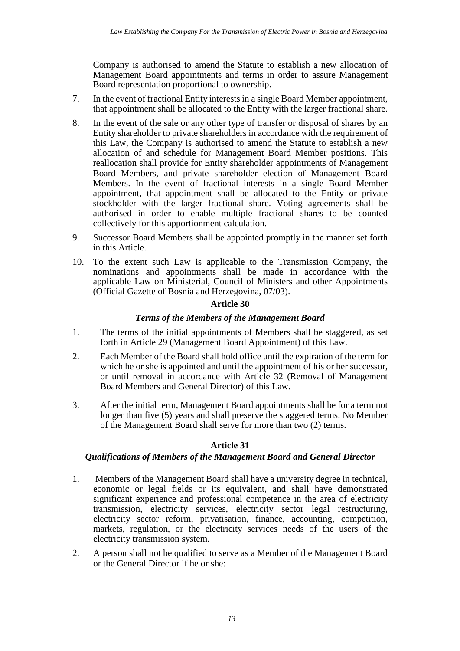Company is authorised to amend the Statute to establish a new allocation of Management Board appointments and terms in order to assure Management Board representation proportional to ownership.

- 7. In the event of fractional Entity interests in a single Board Member appointment, that appointment shall be allocated to the Entity with the larger fractional share.
- 8. In the event of the sale or any other type of transfer or disposal of shares by an Entity shareholder to private shareholders in accordance with the requirement of this Law, the Company is authorised to amend the Statute to establish a new allocation of and schedule for Management Board Member positions. This reallocation shall provide for Entity shareholder appointments of Management Board Members, and private shareholder election of Management Board Members. In the event of fractional interests in a single Board Member appointment, that appointment shall be allocated to the Entity or private stockholder with the larger fractional share. Voting agreements shall be authorised in order to enable multiple fractional shares to be counted collectively for this apportionment calculation.
- 9. Successor Board Members shall be appointed promptly in the manner set forth in this Article.
- 10. To the extent such Law is applicable to the Transmission Company, the nominations and appointments shall be made in accordance with the applicable Law on Ministerial, Council of Ministers and other Appointments (Official Gazette of Bosnia and Herzegovina, 07/03).

## **Article 30**

## *Terms of the Members of the Management Board*

- 1. The terms of the initial appointments of Members shall be staggered, as set forth in Article 29 (Management Board Appointment) of this Law.
- 2. Each Member of the Board shall hold office until the expiration of the term for which he or she is appointed and until the appointment of his or her successor, or until removal in accordance with Article 32 (Removal of Management Board Members and General Director) of this Law.
- 3. After the initial term, Management Board appointments shall be for a term not longer than five (5) years and shall preserve the staggered terms. No Member of the Management Board shall serve for more than two (2) terms.

## **Article 31**

## *Qualifications of Members of the Management Board and General Director*

- 1.Members of the Management Board shall have a university degree in technical, economic or legal fields or its equivalent, and shall have demonstrated significant experience and professional competence in the area of electricity transmission, electricity services, electricity sector legal restructuring, electricity sector reform, privatisation, finance, accounting, competition, markets, regulation, or the electricity services needs of the users of the electricity transmission system.
- 2. A person shall not be qualified to serve as a Member of the Management Board or the General Director if he or she: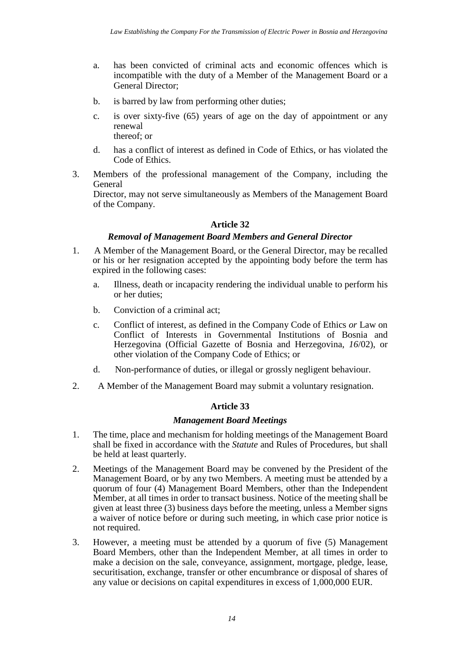- a. has been convicted of criminal acts and economic offences which is incompatible with the duty of a Member of the Management Board or a General Director;
- b. is barred by law from performing other duties;
- c. is over sixty-five (65) years of age on the day of appointment or any renewal thereof; or
- d. has a conflict of interest as defined in Code of Ethics, or has violated the Code of Ethics.
- 3. Members of the professional management of the Company, including the General

Director, may not serve simultaneously as Members of the Management Board of the Company.

## **Article 32**

## *Removal of Management Board Members and General Director*

- 1. A Member of the Management Board, or the General Director, may be recalled or his or her resignation accepted by the appointing body before the term has expired in the following cases:
	- a. Illness, death or incapacity rendering the individual unable to perform his or her duties;
	- b. Conviction of a criminal act;
	- c. Conflict of interest, as defined in the Company Code of Ethics *or* Law on Conflict of Interests in Governmental Institutions of Bosnia and Herzegovina (Official Gazette of Bosnia and Herzegovina, *16*/02), or other violation of the Company Code of Ethics; or
	- d. Non-performance of duties, or illegal or grossly negligent behaviour.
- 2. A Member of the Management Board may submit a voluntary resignation.

## **Article 33**

## *Management Board Meetings*

- 1. The time, place and mechanism for holding meetings of the Management Board shall be fixed in accordance with the *Statute* and Rules of Procedures, but shall be held at least quarterly.
- 2. Meetings of the Management Board may be convened by the President of the Management Board, or by any two Members. A meeting must be attended by a quorum of four (4) Management Board Members, other than the Independent Member, at all times in order to transact business. Notice of the meeting shall be given at least three (3) business days before the meeting, unless a Member signs a waiver of notice before or during such meeting, in which case prior notice is not required.
- 3. However, a meeting must be attended by a quorum of five (5) Management Board Members, other than the Independent Member, at all times in order to make a decision on the sale, conveyance, assignment, mortgage, pledge, lease, securitisation, exchange, transfer or other encumbrance or disposal of shares of any value or decisions on capital expenditures in excess of 1,000,000 EUR.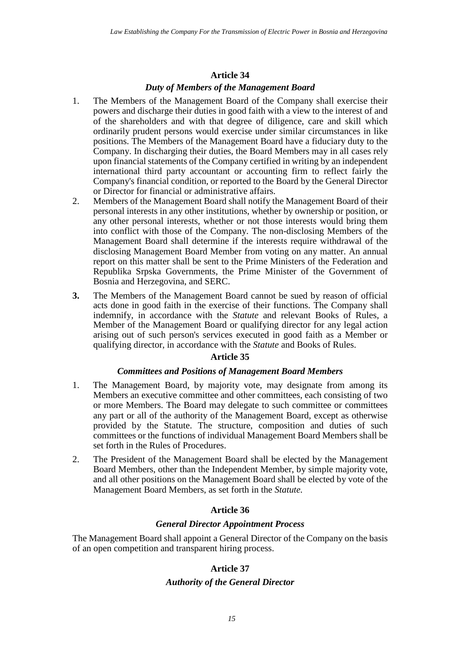#### *Duty of Members of the Management Board*

- 1. The Members of the Management Board of the Company shall exercise their powers and discharge their duties in good faith with a view to the interest of and of the shareholders and with that degree of diligence, care and skill which ordinarily prudent persons would exercise under similar circumstances in like positions. The Members of the Management Board have a fiduciary duty to the Company. In discharging their duties, the Board Members may in all cases rely upon financial statements of the Company certified in writing by an independent international third party accountant or accounting firm to reflect fairly the Company's financial condition, or reported to the Board by the General Director or Director for financial or administrative affairs.
- 2. Members of the Management Board shall notify the Management Board of their personal interests in any other institutions, whether by ownership or position, or any other personal interests, whether or not those interests would bring them into conflict with those of the Company. The non-disclosing Members of the Management Board shall determine if the interests require withdrawal of the disclosing Management Board Member from voting on any matter. An annual report on this matter shall be sent to the Prime Ministers of the Federation and Republika Srpska Governments, the Prime Minister of the Government of Bosnia and Herzegovina, and SERC.
- **3.** The Members of the Management Board cannot be sued by reason of official acts done in good faith in the exercise of their functions. The Company shall indemnify, in accordance with the *Statute* and relevant Books of Rules, a Member of the Management Board or qualifying director for any legal action arising out of such person's services executed in good faith as a Member or qualifying director, in accordance with the *Statute* and Books of Rules.

#### **Article 35**

#### *Committees and Positions of Management Board Members*

- 1. The Management Board, by majority vote, may designate from among its Members an executive committee and other committees, each consisting of two or more Members. The Board may delegate to such committee or committees any part or all of the authority of the Management Board, except as otherwise provided by the Statute. The structure, composition and duties of such committees or the functions of individual Management Board Members shall be set forth in the Rules of Procedures.
- 2. The President of the Management Board shall be elected by the Management Board Members, other than the Independent Member, by simple majority vote, and all other positions on the Management Board shall be elected by vote of the Management Board Members, as set forth in the *Statute.*

#### **Article 36**

### *General Director Appointment Process*

The Management Board shall appoint a General Director of the Company on the basis of an open competition and transparent hiring process.

#### **Article 37**

#### *Authority of the General Director*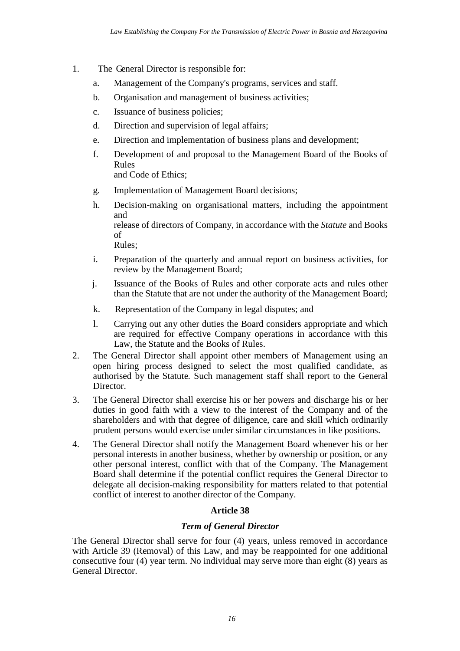- 1. The General Director is responsible for:
	- a. Management of the Company's programs, services and staff.
	- b. Organisation and management of business activities;
	- c. Issuance of business policies;
	- d. Direction and supervision of legal affairs;
	- e. Direction and implementation of business plans and development;
	- f. Development of and proposal to the Management Board of the Books of Rules and Code of Ethics;
	- g. Implementation of Management Board decisions;
	- h. Decision-making on organisational matters, including the appointment and release of directors of Company, in accordance with the *Statute* and Books of Rules;
	- i. Preparation of the quarterly and annual report on business activities, for review by the Management Board;
	- j. Issuance of the Books of Rules and other corporate acts and rules other than the Statute that are not under the authority of the Management Board;
	- k. Representation of the Company in legal disputes; and
	- l. Carrying out any other duties the Board considers appropriate and which are required for effective Company operations in accordance with this Law, the Statute and the Books of Rules.
- 2. The General Director shall appoint other members of Management using an open hiring process designed to select the most qualified candidate, as authorised by the Statute*.*  Such management staff shall report to the General Director.
- 3. The General Director shall exercise his or her powers and discharge his or her duties in good faith with a view to the interest of the Company and of the shareholders and with that degree of diligence, care and skill which ordinarily prudent persons would exercise under similar circumstances in like positions.
- 4. The General Director shall notify the Management Board whenever his or her personal interests in another business, whether by ownership or position, or any other personal interest, conflict with that of the Company. The Management Board shall determine if the potential conflict requires the General Director to delegate all decision-making responsibility for matters related to that potential conflict of interest to another director of the Company.

## *Term of General Director*

The General Director shall serve for four (4) years, unless removed in accordance with Article 39 (Removal) of this Law, and may be reappointed for one additional consecutive four (4) year term. No individual may serve more than eight (8) years as General Director.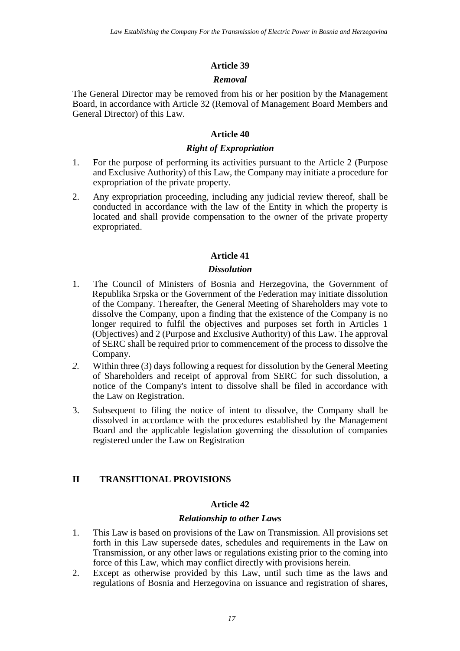### *Removal*

The General Director may be removed from his or her position by the Management Board, in accordance with Article 32 (Removal of Management Board Members and General Director) of this Law.

### **Article 40**

## *Right of Expropriation*

- 1. For the purpose of performing its activities pursuant to the Article 2 (Purpose and Exclusive Authority) of this Law, the Company may initiate a procedure for expropriation of the private property.
- 2. Any expropriation proceeding, including any judicial review thereof, shall be conducted in accordance with the law of the Entity in which the property is located and shall provide compensation to the owner of the private property expropriated.

## **Article 41**

#### *Dissolution*

- 1. The Council of Ministers of Bosnia and Herzegovina, the Government of Republika Srpska or the Government of the Federation may initiate dissolution of the Company. Thereafter, the General Meeting of Shareholders may vote to dissolve the Company, upon a finding that the existence of the Company is no longer required to fulfil the objectives and purposes set forth in Articles 1 (Objectives) and 2 (Purpose and Exclusive Authority) of this Law. The approval of SERC shall be required prior to commencement of the process to dissolve the Company.
- *2.* Within three (3) days following a request for dissolution by the General Meeting of Shareholders and receipt of approval from SERC for such dissolution, a notice of the Company's intent to dissolve shall be filed in accordance with the Law on Registration.
- 3. Subsequent to filing the notice of intent to dissolve, the Company shall be dissolved in accordance with the procedures established by the Management Board and the applicable legislation governing the dissolution of companies registered under the Law on Registration

## **II TRANSITIONAL PROVISIONS**

### **Article 42**

#### *Relationship to other Laws*

- 1. This Law is based on provisions of the Law on Transmission*.* All provisions set forth in this Law supersede dates, schedules and requirements in the Law on Transmission, or any other laws or regulations existing prior to the coming into force of this Law, which may conflict directly with provisions herein.
- 2. Except as otherwise provided by this Law, until such time as the laws and regulations of Bosnia and Herzegovina on issuance and registration of shares,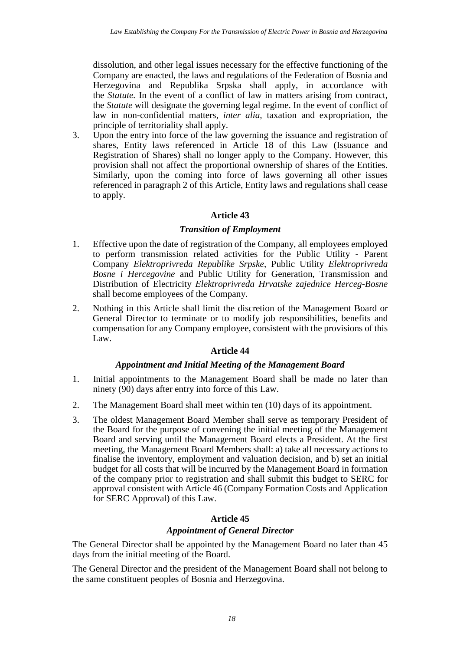dissolution, and other legal issues necessary for the effective functioning of the Company are enacted, the laws and regulations of the Federation of Bosnia and Herzegovina and Republika Srpska shall apply, in accordance with the *Statute.* In the event of a conflict of law in matters arising from contract, the *Statute* will designate the governing legal regime. In the event of conflict of law in non-confidential matters, *inter alia*, taxation and expropriation, the principle of territoriality shall apply.

3. Upon the entry into force of the law governing the issuance and registration of shares, Entity laws referenced in Article 18 of this Law (Issuance and Registration of Shares) shall no longer apply to the Company. However, this provision shall not affect the proportional ownership of shares of the Entities. Similarly, upon the coming into force of laws governing all other issues referenced in paragraph 2 of this Article, Entity laws and regulations shall cease to apply.

## **Article 43**

## *Transition of Employment*

- 1. Effective upon the date of registration of the Company, all employees employed to perform transmission related activities for the Public Utility - Parent Company *Elektroprivreda Republike Srpske*, Public Utility *Elektroprivreda Bosne i Hercegovine* and Public Utility for Generation, Transmission and Distribution of Electricity *Elektroprivreda Hrvatske zajednice Herceg-Bosne* shall become employees of the Company.
- 2. Nothing in this Article shall limit the discretion of the Management Board or General Director to terminate or to modify job responsibilities, benefits and compensation for any Company employee, consistent with the provisions of this Law.

## **Article 44**

## *Appointment and Initial Meeting of the Management Board*

- 1. Initial appointments to the Management Board shall be made no later than ninety (90) days after entry into force of this Law.
- 2. The Management Board shall meet within ten (10) days of its appointment.
- 3. The oldest Management Board Member shall serve as temporary President of the Board for the purpose of convening the initial meeting of the Management Board and serving until the Management Board elects a President. At the first meeting, the Management Board Members shall: a) take all necessary actions to finalise the inventory, employment and valuation decision, and b) set an initial budget for all costs that will be incurred by the Management Board in formation of the company prior to registration and shall submit this budget to SERC for approval consistent with Article 46 (Company Formation Costs and Application for SERC Approval) of this Law.

## **Article 45**

## *Appointment of General Director*

The General Director shall be appointed by the Management Board no later than 45 days from the initial meeting of the Board.

The General Director and the president of the Management Board shall not belong to the same constituent peoples of Bosnia and Herzegovina.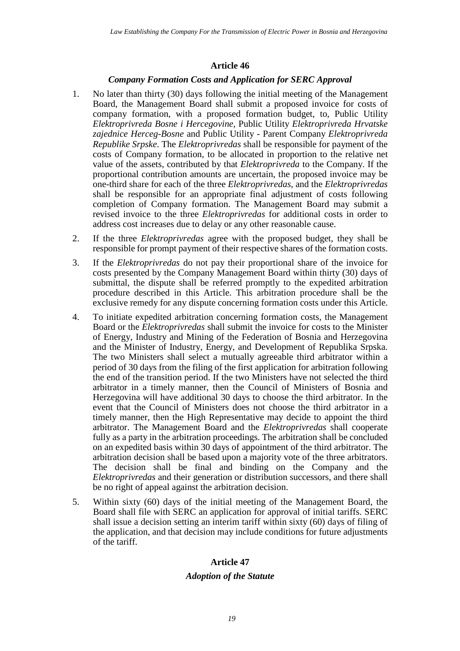## *Company Formation Costs and Application for SERC Approval*

- 1. No later than thirty (30) days following the initial meeting of the Management Board, the Management Board shall submit a proposed invoice for costs of company formation, with a proposed formation budget, to, Public Utility *Elektroprivreda Bosne i Hercegovine*, Public Utility *Elektroprivreda Hrvatske zajednice Herceg-Bosne* and Public Utility - Parent Company *Elektroprivreda Republike Srpske*. The *Elektroprivredas* shall be responsible for payment of the costs of Company formation, to be allocated in proportion to the relative net value of the assets, contributed by that *Elektroprivreda* to the Company. If the proportional contribution amounts are uncertain, the proposed invoice may be one-third share for each of the three *Elektroprivredas*, and the *Elektroprivredas* shall be responsible for an appropriate final adjustment of costs following completion of Company formation. The Management Board may submit a revised invoice to the three *Elektroprivredas* for additional costs in order to address cost increases due to delay or any other reasonable cause.
- 2. If the three *Elektroprivredas* agree with the proposed budget, they shall be responsible for prompt payment of their respective shares of the formation costs.
- 3. If the *Elektroprivredas* do not pay their proportional share of the invoice for costs presented by the Company Management Board within thirty (30) days of submittal, the dispute shall be referred promptly to the expedited arbitration procedure described in this Article. This arbitration procedure shall be the exclusive remedy for any dispute concerning formation costs under this Article.
- 4. To initiate expedited arbitration concerning formation costs, the Management Board or the *Elektroprivredas* shall submit the invoice for costs to the Minister of Energy, Industry and Mining of the Federation of Bosnia and Herzegovina and the Minister of Industry, Energy, and Development of Republika Srpska. The two Ministers shall select a mutually agreeable third arbitrator within a period of 30 days from the filing of the first application for arbitration following the end of the transition period. If the two Ministers have not selected the third arbitrator in a timely manner, then the Council of Ministers of Bosnia and Herzegovina will have additional 30 days to choose the third arbitrator. In the event that the Council of Ministers does not choose the third arbitrator in a timely manner, then the High Representative may decide to appoint the third arbitrator. The Management Board and the *Elektroprivredas* shall cooperate fully as a party in the arbitration proceedings. The arbitration shall be concluded on an expedited basis within 30 days of appointment of the third arbitrator. The arbitration decision shall be based upon a majority vote of the three arbitrators. The decision shall be final and binding on the Company and the *Elektroprivredas* and their generation or distribution successors, and there shall be no right of appeal against the arbitration decision.
- 5. Within sixty (60) days of the initial meeting of the Management Board, the Board shall file with SERC an application for approval of initial tariffs. SERC shall issue a decision setting an interim tariff within sixty (60) days of filing of the application, and that decision may include conditions for future adjustments of the tariff.

## **Article 47**

## *Adoption of the Statute*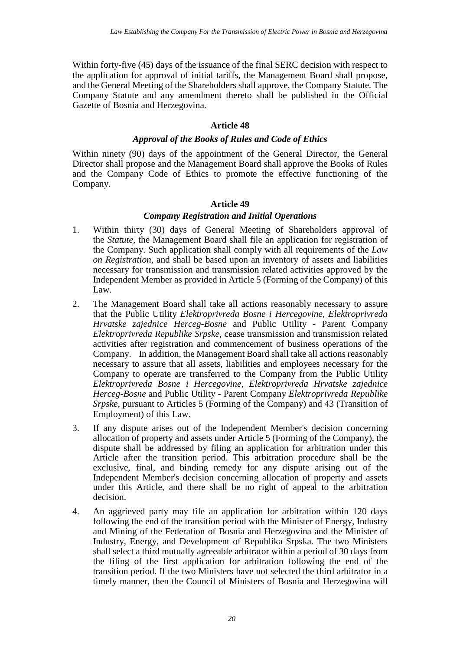Within forty-five (45) days of the issuance of the final SERC decision with respect to the application for approval of initial tariffs, the Management Board shall propose, and the General Meeting of the Shareholders shall approve, the Company Statute*.* The Company Statute and any amendment thereto shall be published in the Official Gazette of Bosnia and Herzegovina.

### **Article 48**

## *Approval of the Books of Rules and Code of Ethics*

Within ninety (90) days of the appointment of the General Director, the General Director shall propose and the Management Board shall approve the Books of Rules and the Company Code of Ethics to promote the effective functioning of the Company.

#### **Article 49**

## *Company Registration and Initial Operations*

- 1. Within thirty (30) days of General Meeting of Shareholders approval of the *Statute,* the Management Board shall file an application for registration of the Company. Such application shall comply with all requirements of the *Law on Registration,*  and shall be based upon an inventory of assets and liabilities necessary for transmission and transmission related activities approved by the Independent Member as provided in Article 5 (Forming of the Company) of this Law.
- 2. The Management Board shall take all actions reasonably necessary to assure that the Public Utility *Elektroprivreda Bosne i Hercegovine*, *Elektroprivreda Hrvatske zajednice Herceg-Bosne* and Public Utility - Parent Company *Elektroprivreda Republike Srpske*, cease transmission and transmission related activities after registration and commencement of business operations of the Company. In addition, the Management Board shall take all actions reasonably necessary to assure that all assets, liabilities and employees necessary for the Company to operate are transferred to the Company from the Public Utility *Elektroprivreda Bosne i Hercegovine*, *Elektroprivreda Hrvatske zajednice Herceg-Bosne* and Public Utility - Parent Company *Elektroprivreda Republike Srpske*, pursuant to Articles 5 (Forming of the Company) and 43 (Transition of Employment) of this Law.
- 3. If any dispute arises out of the Independent Member's decision concerning allocation of property and assets under Article 5 (Forming of the Company), the dispute shall be addressed by filing an application for arbitration under this Article after the transition period. This arbitration procedure shall be the exclusive, final, and binding remedy for any dispute arising out of the Independent Member's decision concerning allocation of property and assets under this Article, and there shall be no right of appeal to the arbitration decision.
- 4. An aggrieved party may file an application for arbitration within 120 days following the end of the transition period with the Minister of Energy, Industry and Mining of the Federation of Bosnia and Herzegovina and the Minister of Industry, Energy, and Development of Republika Srpska. The two Ministers shall select a third mutually agreeable arbitrator within a period of 30 days from the filing of the first application for arbitration following the end of the transition period. If the two Ministers have not selected the third arbitrator in a timely manner, then the Council of Ministers of Bosnia and Herzegovina will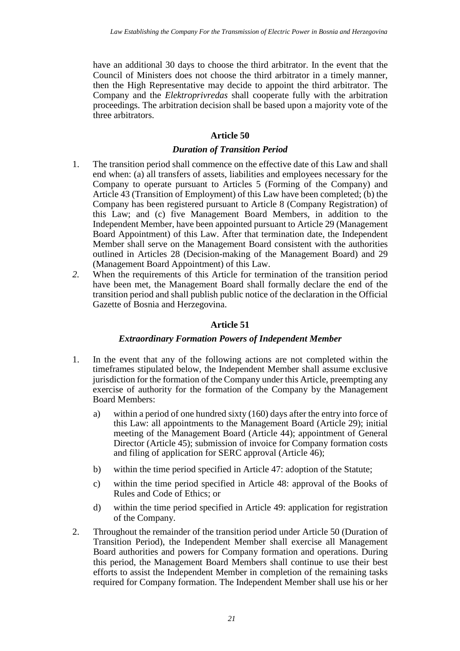have an additional 30 days to choose the third arbitrator. In the event that the Council of Ministers does not choose the third arbitrator in a timely manner, then the High Representative may decide to appoint the third arbitrator. The Company and the *Elektroprivredas* shall cooperate fully with the arbitration proceedings. The arbitration decision shall be based upon a majority vote of the three arbitrators.

### **Article 50**

### *Duration of Transition Period*

- 1. The transition period shall commence on the effective date of this Law and shall end when: (a) all transfers of assets, liabilities and employees necessary for the Company to operate pursuant to Articles 5 (Forming of the Company) and Article 43 (Transition of Employment) of this Law have been completed; (b) the Company has been registered pursuant to Article 8 (Company Registration) of this Law; and (c) five Management Board Members, in addition to the Independent Member, have been appointed pursuant to Article 29 (Management Board Appointment) of this Law. After that termination date, the Independent Member shall serve on the Management Board consistent with the authorities outlined in Articles 28 (Decision-making of the Management Board) and 29 (Management Board Appointment) of this Law.
- *2.* When the requirements of this Article for termination of the transition period have been met, the Management Board shall formally declare the end of the transition period and shall publish public notice of the declaration in the Official Gazette of Bosnia and Herzegovina.

### **Article 51**

#### *Extraordinary Formation Powers of Independent Member*

- 1. In the event that any of the following actions are not completed within the timeframes stipulated below, the Independent Member shall assume exclusive jurisdiction for the formation of the Company under this Article, preempting any exercise of authority for the formation of the Company by the Management Board Members:
	- a) within a period of one hundred sixty (160) days after the entry into force of this Law: all appointments to the Management Board (Article 29); initial meeting of the Management Board (Article 44); appointment of General Director (Article 45); submission of invoice for Company formation costs and filing of application for SERC approval (Article 46);
	- b) within the time period specified in Article 47: adoption of the Statute;
	- c) within the time period specified in Article 48: approval of the Books of Rules and Code of Ethics; or
	- d) within the time period specified in Article 49: application for registration of the Company.
- 2. Throughout the remainder of the transition period under Article 50 (Duration of Transition Period), the Independent Member shall exercise all Management Board authorities and powers for Company formation and operations. During this period, the Management Board Members shall continue to use their best efforts to assist the Independent Member in completion of the remaining tasks required for Company formation. The Independent Member shall use his or her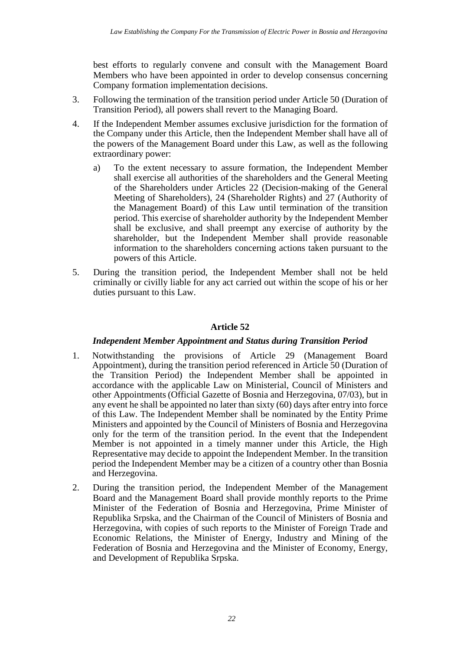best efforts to regularly convene and consult with the Management Board Members who have been appointed in order to develop consensus concerning Company formation implementation decisions.

- 3. Following the termination of the transition period under Article 50 (Duration of Transition Period), all powers shall revert to the Managing Board.
- 4. If the Independent Member assumes exclusive jurisdiction for the formation of the Company under this Article, then the Independent Member shall have all of the powers of the Management Board under this Law, as well as the following extraordinary power:
	- a) To the extent necessary to assure formation, the Independent Member shall exercise all authorities of the shareholders and the General Meeting of the Shareholders under Articles 22 (Decision-making of the General Meeting of Shareholders), 24 (Shareholder Rights) and 27 (Authority of the Management Board) of this Law until termination of the transition period. This exercise of shareholder authority by the Independent Member shall be exclusive, and shall preempt any exercise of authority by the shareholder, but the Independent Member shall provide reasonable information to the shareholders concerning actions taken pursuant to the powers of this Article.
- 5. During the transition period, the Independent Member shall not be held criminally or civilly liable for any act carried out within the scope of his or her duties pursuant to this Law.

## **Article 52**

## *Independent Member Appointment and Status during Transition Period*

- 1. Notwithstanding the provisions of Article 29 (Management Board Appointment), during the transition period referenced in Article 50 (Duration of the Transition Period) the Independent Member shall be appointed in accordance with the applicable Law on Ministerial, Council of Ministers and other Appointments (Official Gazette of Bosnia and Herzegovina, 07/03), but in any event he shall be appointed no later than sixty (60) days after entry into force of this Law. The Independent Member shall be nominated by the Entity Prime Ministers and appointed by the Council of Ministers of Bosnia and Herzegovina only for the term of the transition period. In the event that the Independent Member is not appointed in a timely manner under this Article, the High Representative may decide to appoint the Independent Member. In the transition period the Independent Member may be a citizen of a country other than Bosnia and Herzegovina.
- 2. During the transition period, the Independent Member of the Management Board and the Management Board shall provide monthly reports to the Prime Minister of the Federation of Bosnia and Herzegovina, Prime Minister of Republika Srpska, and the Chairman of the Council of Ministers of Bosnia and Herzegovina, with copies of such reports to the Minister of Foreign Trade and Economic Relations, the Minister of Energy, Industry and Mining of the Federation of Bosnia and Herzegovina and the Minister of Economy, Energy, and Development of Republika Srpska.